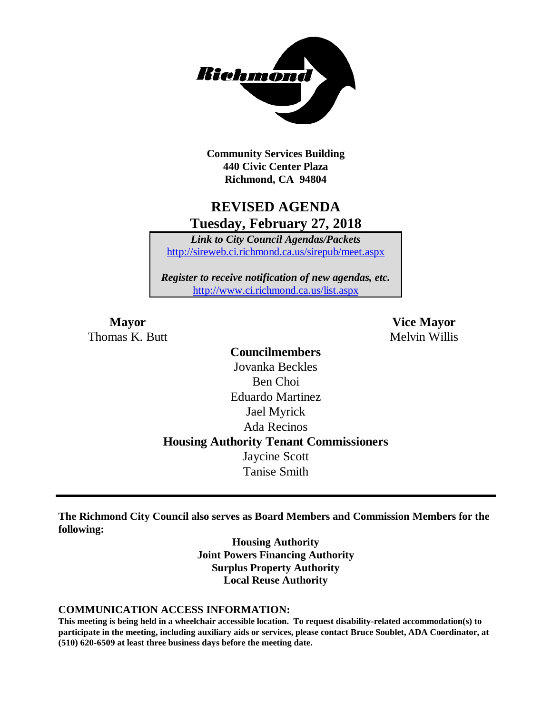

**Community Services Building 440 Civic Center Plaza Richmond, CA 94804**

# **REVISED AGENDA Tuesday, February 27, 2018**

*Link to City Council Agendas/Packets* <http://sireweb.ci.richmond.ca.us/sirepub/meet.aspx>

*Register to receive notification of new agendas, etc.* <http://www.ci.richmond.ca.us/list.aspx>

Thomas K. Butt Melvin Willis

**Mayor Vice Mayor**

**Councilmembers** Jovanka Beckles Ben Choi Eduardo Martinez Jael Myrick Ada Recinos **Housing Authority Tenant Commissioners** Jaycine Scott Tanise Smith

**The Richmond City Council also serves as Board Members and Commission Members for the following:**

> **Housing Authority Joint Powers Financing Authority Surplus Property Authority Local Reuse Authority**

#### **COMMUNICATION ACCESS INFORMATION:**

**This meeting is being held in a wheelchair accessible location. To request disability-related accommodation(s) to participate in the meeting, including auxiliary aids or services, please contact Bruce Soublet, ADA Coordinator, at (510) 620-6509 at least three business days before the meeting date.**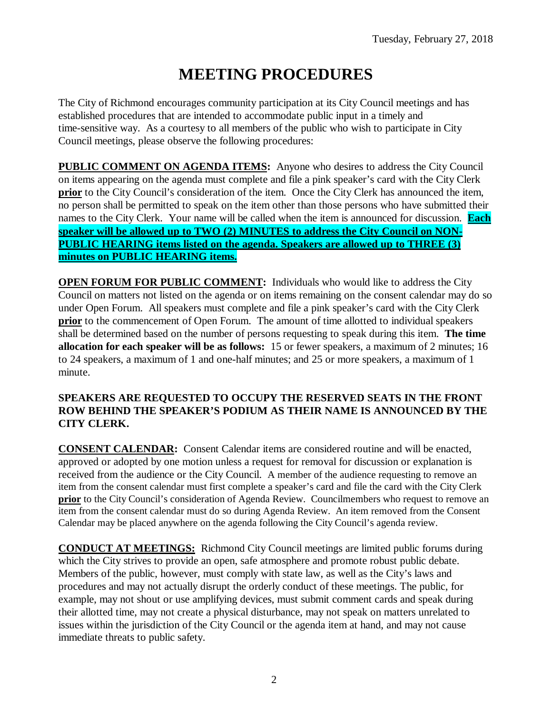# **MEETING PROCEDURES**

The City of Richmond encourages community participation at its City Council meetings and has established procedures that are intended to accommodate public input in a timely and time-sensitive way. As a courtesy to all members of the public who wish to participate in City Council meetings, please observe the following procedures:

**PUBLIC COMMENT ON AGENDA ITEMS:** Anyone who desires to address the City Council on items appearing on the agenda must complete and file a pink speaker's card with the City Clerk **prior** to the City Council's consideration of the item. Once the City Clerk has announced the item, no person shall be permitted to speak on the item other than those persons who have submitted their names to the City Clerk. Your name will be called when the item is announced for discussion. **Each speaker will be allowed up to TWO (2) MINUTES to address the City Council on NON-PUBLIC HEARING items listed on the agenda. Speakers are allowed up to THREE (3) minutes on PUBLIC HEARING items.**

**OPEN FORUM FOR PUBLIC COMMENT:** Individuals who would like to address the City Council on matters not listed on the agenda or on items remaining on the consent calendar may do so under Open Forum. All speakers must complete and file a pink speaker's card with the City Clerk **prior** to the commencement of Open Forum. The amount of time allotted to individual speakers shall be determined based on the number of persons requesting to speak during this item. **The time allocation for each speaker will be as follows:** 15 or fewer speakers, a maximum of 2 minutes; 16 to 24 speakers, a maximum of 1 and one-half minutes; and 25 or more speakers, a maximum of 1 minute.

### **SPEAKERS ARE REQUESTED TO OCCUPY THE RESERVED SEATS IN THE FRONT ROW BEHIND THE SPEAKER'S PODIUM AS THEIR NAME IS ANNOUNCED BY THE CITY CLERK.**

**CONSENT CALENDAR:** Consent Calendar items are considered routine and will be enacted, approved or adopted by one motion unless a request for removal for discussion or explanation is received from the audience or the City Council. A member of the audience requesting to remove an item from the consent calendar must first complete a speaker's card and file the card with the City Clerk **prior** to the City Council's consideration of Agenda Review. Councilmembers who request to remove an item from the consent calendar must do so during Agenda Review. An item removed from the Consent Calendar may be placed anywhere on the agenda following the City Council's agenda review.

**CONDUCT AT MEETINGS:** Richmond City Council meetings are limited public forums during which the City strives to provide an open, safe atmosphere and promote robust public debate. Members of the public, however, must comply with state law, as well as the City's laws and procedures and may not actually disrupt the orderly conduct of these meetings. The public, for example, may not shout or use amplifying devices, must submit comment cards and speak during their allotted time, may not create a physical disturbance, may not speak on matters unrelated to issues within the jurisdiction of the City Council or the agenda item at hand, and may not cause immediate threats to public safety.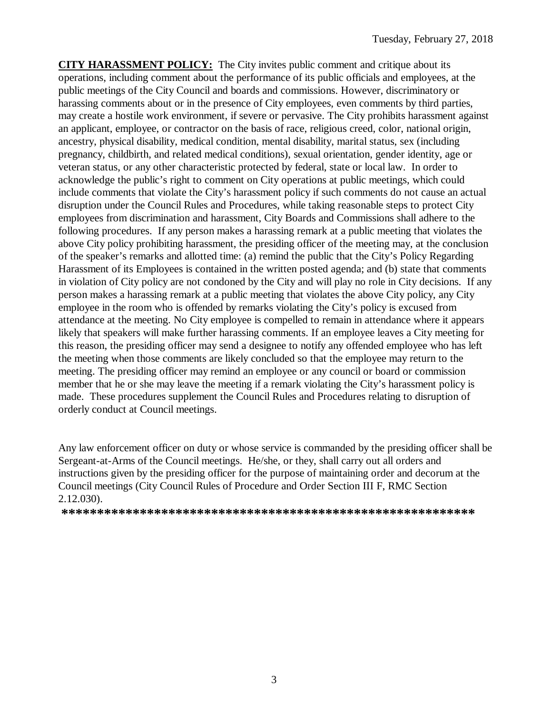**CITY HARASSMENT POLICY:** The City invites public comment and critique about its operations, including comment about the performance of its public officials and employees, at the public meetings of the City Council and boards and commissions. However, discriminatory or harassing comments about or in the presence of City employees, even comments by third parties, may create a hostile work environment, if severe or pervasive. The City prohibits harassment against an applicant, employee, or contractor on the basis of race, religious creed, color, national origin, ancestry, physical disability, medical condition, mental disability, marital status, sex (including pregnancy, childbirth, and related medical conditions), sexual orientation, gender identity, age or veteran status, or any other characteristic protected by federal, state or local law. In order to acknowledge the public's right to comment on City operations at public meetings, which could include comments that violate the City's harassment policy if such comments do not cause an actual disruption under the Council Rules and Procedures, while taking reasonable steps to protect City employees from discrimination and harassment, City Boards and Commissions shall adhere to the following procedures. If any person makes a harassing remark at a public meeting that violates the above City policy prohibiting harassment, the presiding officer of the meeting may, at the conclusion of the speaker's remarks and allotted time: (a) remind the public that the City's Policy Regarding Harassment of its Employees is contained in the written posted agenda; and (b) state that comments in violation of City policy are not condoned by the City and will play no role in City decisions. If any person makes a harassing remark at a public meeting that violates the above City policy, any City employee in the room who is offended by remarks violating the City's policy is excused from attendance at the meeting. No City employee is compelled to remain in attendance where it appears likely that speakers will make further harassing comments. If an employee leaves a City meeting for this reason, the presiding officer may send a designee to notify any offended employee who has left the meeting when those comments are likely concluded so that the employee may return to the meeting. The presiding officer may remind an employee or any council or board or commission member that he or she may leave the meeting if a remark violating the City's harassment policy is made. These procedures supplement the Council Rules and Procedures relating to disruption of orderly conduct at Council meetings.

Any law enforcement officer on duty or whose service is commanded by the presiding officer shall be Sergeant-at-Arms of the Council meetings. He/she, or they, shall carry out all orders and instructions given by the presiding officer for the purpose of maintaining order and decorum at the Council meetings (City Council Rules of Procedure and Order Section III F, RMC Section 2.12.030).

**\*\*\*\*\*\*\*\*\*\*\*\*\*\*\*\*\*\*\*\*\*\*\*\*\*\*\*\*\*\*\*\*\*\*\*\*\*\*\*\*\*\*\*\*\*\*\*\*\*\*\*\*\*\*\*\*\*\***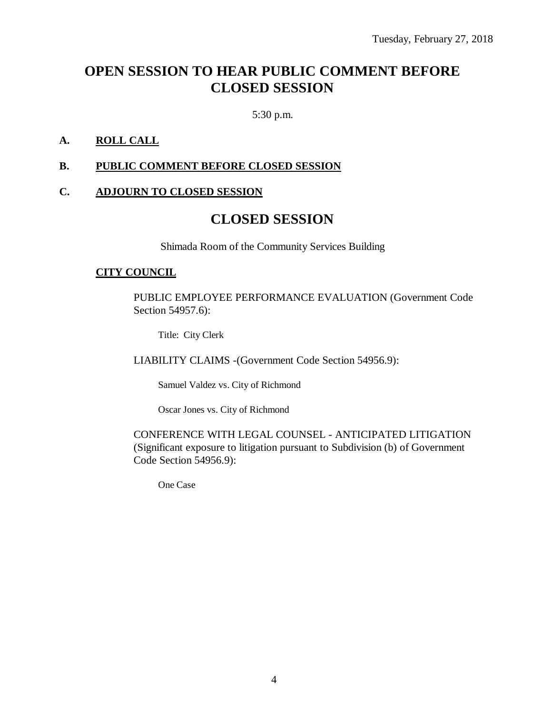# **OPEN SESSION TO HEAR PUBLIC COMMENT BEFORE CLOSED SESSION**

5:30 p.m.

### **A. ROLL CALL**

#### **B. PUBLIC COMMENT BEFORE CLOSED SESSION**

#### **C. ADJOURN TO CLOSED SESSION**

# **CLOSED SESSION**

Shimada Room of the Community Services Building

#### **CITY COUNCIL**

PUBLIC EMPLOYEE PERFORMANCE EVALUATION (Government Code Section 54957.6):

Title: City Clerk

LIABILITY CLAIMS -(Government Code Section 54956.9):

Samuel Valdez vs. City of Richmond

Oscar Jones vs. City of Richmond

CONFERENCE WITH LEGAL COUNSEL - ANTICIPATED LITIGATION (Significant exposure to litigation pursuant to Subdivision (b) of Government Code Section 54956.9):

One Case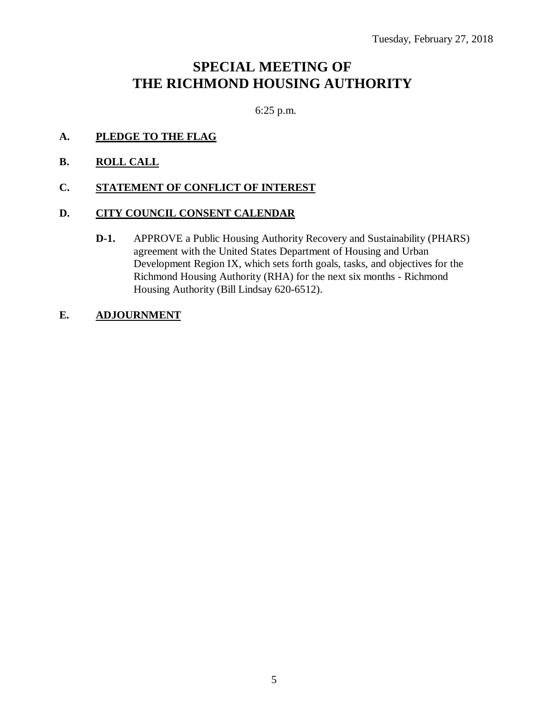# **SPECIAL MEETING OF THE RICHMOND HOUSING AUTHORITY**

6:25 p.m.

# **A. PLEDGE TO THE FLAG**

**B. ROLL CALL**

### **C. STATEMENT OF CONFLICT OF INTEREST**

### **D. CITY COUNCIL CONSENT CALENDAR**

**D-1.** APPROVE a Public Housing Authority Recovery and Sustainability (PHARS) agreement with the United States Department of Housing and Urban Development Region IX, which sets forth goals, tasks, and objectives for the Richmond Housing Authority (RHA) for the next six months - Richmond Housing Authority (Bill Lindsay 620-6512).

# **E. ADJOURNMENT**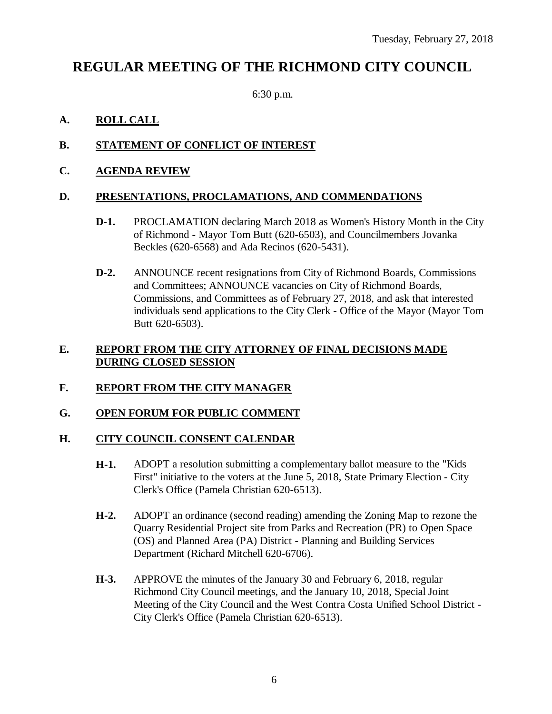# **REGULAR MEETING OF THE RICHMOND CITY COUNCIL**

6:30 p.m.

# **A. ROLL CALL**

# **B. STATEMENT OF CONFLICT OF INTEREST**

### **C. AGENDA REVIEW**

### **D. PRESENTATIONS, PROCLAMATIONS, AND COMMENDATIONS**

- **D-1.** PROCLAMATION declaring March 2018 as Women's History Month in the City of Richmond - Mayor Tom Butt (620-6503), and Councilmembers Jovanka Beckles (620-6568) and Ada Recinos (620-5431).
- **D-2.** ANNOUNCE recent resignations from City of Richmond Boards, Commissions and Committees; ANNOUNCE vacancies on City of Richmond Boards, Commissions, and Committees as of February 27, 2018, and ask that interested individuals send applications to the City Clerk - Office of the Mayor (Mayor Tom Butt 620-6503).

### **E. REPORT FROM THE CITY ATTORNEY OF FINAL DECISIONS MADE DURING CLOSED SESSION**

# **F. REPORT FROM THE CITY MANAGER**

### **G. OPEN FORUM FOR PUBLIC COMMENT**

### **H. CITY COUNCIL CONSENT CALENDAR**

- **H-1.** ADOPT a resolution submitting a complementary ballot measure to the "Kids First" initiative to the voters at the June 5, 2018, State Primary Election - City Clerk's Office (Pamela Christian 620-6513).
- **H-2.** ADOPT an ordinance (second reading) amending the Zoning Map to rezone the Quarry Residential Project site from Parks and Recreation (PR) to Open Space (OS) and Planned Area (PA) District - Planning and Building Services Department (Richard Mitchell 620-6706).
- **H-3.** APPROVE the minutes of the January 30 and February 6, 2018, regular Richmond City Council meetings, and the January 10, 2018, Special Joint Meeting of the City Council and the West Contra Costa Unified School District - City Clerk's Office (Pamela Christian 620-6513).